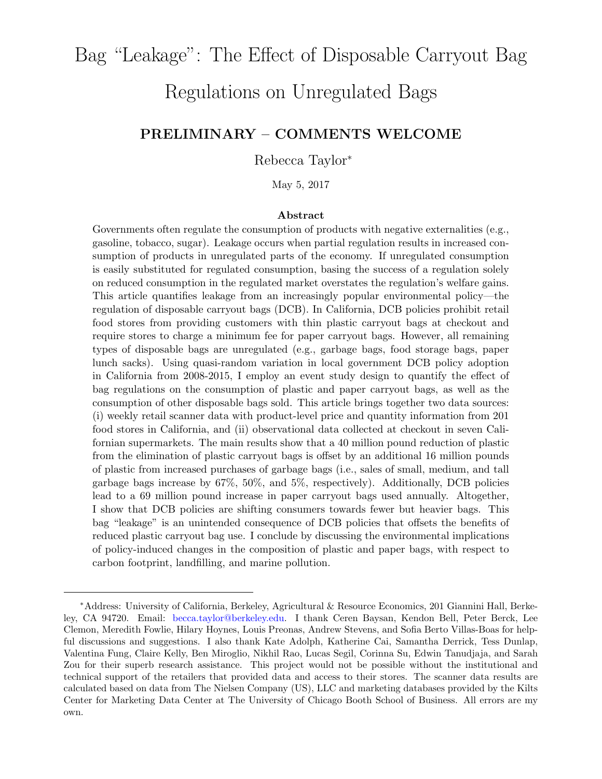# Bag "Leakage": The Effect of Disposable Carryout Bag

# Regulations on Unregulated Bags

### PRELIMINARY – COMMENTS WELCOME

### Rebecca Taylor<sup>∗</sup>

May 5, 2017

#### Abstract

Governments often regulate the consumption of products with negative externalities (e.g., gasoline, tobacco, sugar). Leakage occurs when partial regulation results in increased consumption of products in unregulated parts of the economy. If unregulated consumption is easily substituted for regulated consumption, basing the success of a regulation solely on reduced consumption in the regulated market overstates the regulation's welfare gains. This article quantifies leakage from an increasingly popular environmental policy—the regulation of disposable carryout bags (DCB). In California, DCB policies prohibit retail food stores from providing customers with thin plastic carryout bags at checkout and require stores to charge a minimum fee for paper carryout bags. However, all remaining types of disposable bags are unregulated (e.g., garbage bags, food storage bags, paper lunch sacks). Using quasi-random variation in local government DCB policy adoption in California from 2008-2015, I employ an event study design to quantify the effect of bag regulations on the consumption of plastic and paper carryout bags, as well as the consumption of other disposable bags sold. This article brings together two data sources: (i) weekly retail scanner data with product-level price and quantity information from 201 food stores in California, and (ii) observational data collected at checkout in seven Californian supermarkets. The main results show that a 40 million pound reduction of plastic from the elimination of plastic carryout bags is offset by an additional 16 million pounds of plastic from increased purchases of garbage bags (i.e., sales of small, medium, and tall garbage bags increase by 67%, 50%, and 5%, respectively). Additionally, DCB policies lead to a 69 million pound increase in paper carryout bags used annually. Altogether, I show that DCB policies are shifting consumers towards fewer but heavier bags. This bag "leakage" is an unintended consequence of DCB policies that offsets the benefits of reduced plastic carryout bag use. I conclude by discussing the environmental implications of policy-induced changes in the composition of plastic and paper bags, with respect to carbon footprint, landfilling, and marine pollution.

<sup>∗</sup>Address: University of California, Berkeley, Agricultural & Resource Economics, 201 Giannini Hall, Berkeley, CA 94720. Email: becca.taylor@berkeley.edu. I thank Ceren Baysan, Kendon Bell, Peter Berck, Lee Clemon, Meredith Fowlie, Hilary Hoynes, Louis Preonas, Andrew Stevens, and Sofia Berto Villas-Boas for helpful discussions and suggestions. I also thank Kate Adolph, Katherine Cai, Samantha Derrick, Tess Dunlap, Valentina Fung, Claire Kelly, Ben Miroglio, Nikhil Rao, Lucas Segil, Corinna Su, Edwin Tanudjaja, and Sarah Zou for their superb research assistance. This project would not be possible without the institutional and technical support of the retailers that provided data and access to their stores. The scanner data results are calculated based on data from The Nielsen Company (US), LLC and marketing databases provided by the Kilts Center for Marketing Data Center at The University of Chicago Booth School of Business. All errors are my own.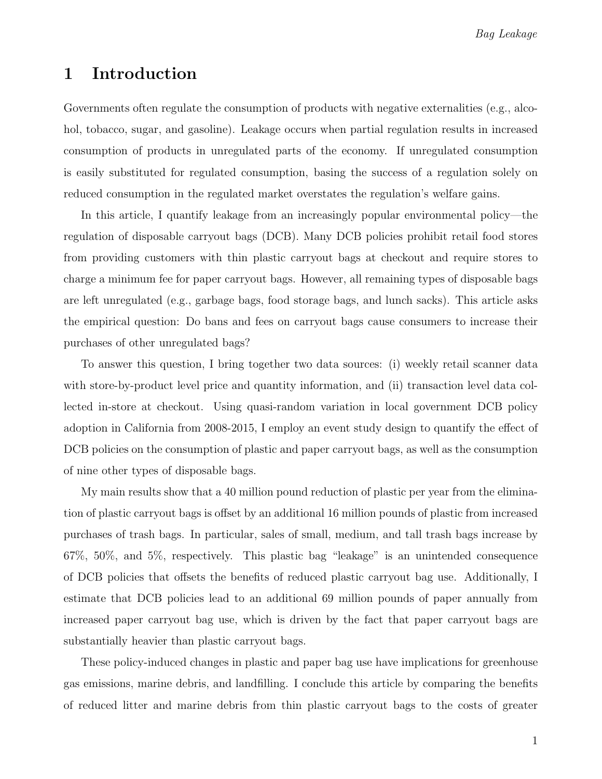# 1 Introduction

Governments often regulate the consumption of products with negative externalities (e.g., alcohol, tobacco, sugar, and gasoline). Leakage occurs when partial regulation results in increased consumption of products in unregulated parts of the economy. If unregulated consumption is easily substituted for regulated consumption, basing the success of a regulation solely on reduced consumption in the regulated market overstates the regulation's welfare gains.

In this article, I quantify leakage from an increasingly popular environmental policy—the regulation of disposable carryout bags (DCB). Many DCB policies prohibit retail food stores from providing customers with thin plastic carryout bags at checkout and require stores to charge a minimum fee for paper carryout bags. However, all remaining types of disposable bags are left unregulated (e.g., garbage bags, food storage bags, and lunch sacks). This article asks the empirical question: Do bans and fees on carryout bags cause consumers to increase their purchases of other unregulated bags?

To answer this question, I bring together two data sources: (i) weekly retail scanner data with store-by-product level price and quantity information, and (ii) transaction level data collected in-store at checkout. Using quasi-random variation in local government DCB policy adoption in California from 2008-2015, I employ an event study design to quantify the effect of DCB policies on the consumption of plastic and paper carryout bags, as well as the consumption of nine other types of disposable bags.

My main results show that a 40 million pound reduction of plastic per year from the elimination of plastic carryout bags is offset by an additional 16 million pounds of plastic from increased purchases of trash bags. In particular, sales of small, medium, and tall trash bags increase by 67%, 50%, and 5%, respectively. This plastic bag "leakage" is an unintended consequence of DCB policies that offsets the benefits of reduced plastic carryout bag use. Additionally, I estimate that DCB policies lead to an additional 69 million pounds of paper annually from increased paper carryout bag use, which is driven by the fact that paper carryout bags are substantially heavier than plastic carryout bags.

These policy-induced changes in plastic and paper bag use have implications for greenhouse gas emissions, marine debris, and landfilling. I conclude this article by comparing the benefits of reduced litter and marine debris from thin plastic carryout bags to the costs of greater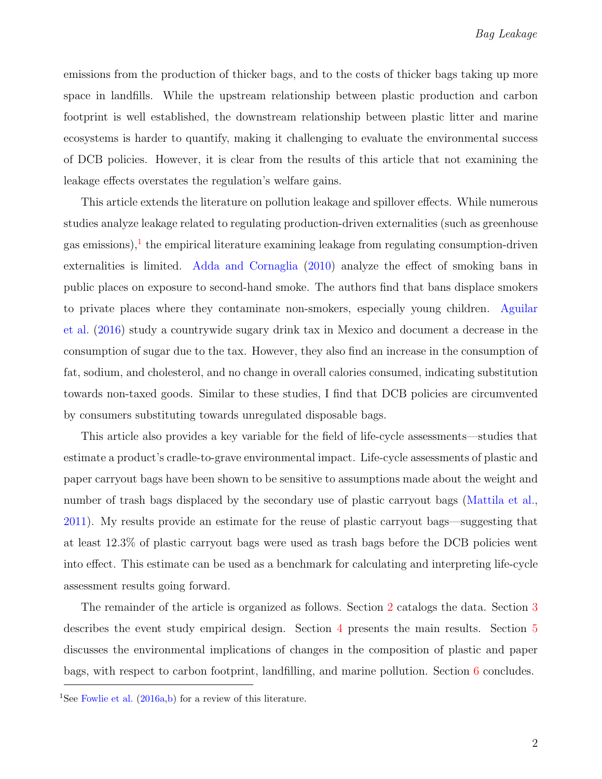emissions from the production of thicker bags, and to the costs of thicker bags taking up more space in landfills. While the upstream relationship between plastic production and carbon footprint is well established, the downstream relationship between plastic litter and marine ecosystems is harder to quantify, making it challenging to evaluate the environmental success of DCB policies. However, it is clear from the results of this article that not examining the leakage effects overstates the regulation's welfare gains.

This article extends the literature on pollution leakage and spillover effects. While numerous studies analyze leakage related to regulating production-driven externalities (such as greenhouse gas emissions),<sup>[1](#page-2-0)</sup> the empirical literature examining leakage from regulating consumption-driven externalities is limited. [Adda and Cornaglia](#page-14-0) [\(2010\)](#page-14-0) analyze the effect of smoking bans in public places on exposure to second-hand smoke. The authors find that bans displace smokers to private places where they contaminate non-smokers, especially young children. [Aguilar](#page-14-1) [et al.](#page-14-1) [\(2016\)](#page-14-1) study a countrywide sugary drink tax in Mexico and document a decrease in the consumption of sugar due to the tax. However, they also find an increase in the consumption of fat, sodium, and cholesterol, and no change in overall calories consumed, indicating substitution towards non-taxed goods. Similar to these studies, I find that DCB policies are circumvented by consumers substituting towards unregulated disposable bags.

This article also provides a key variable for the field of life-cycle assessments—studies that estimate a product's cradle-to-grave environmental impact. Life-cycle assessments of plastic and paper carryout bags have been shown to be sensitive to assumptions made about the weight and number of trash bags displaced by the secondary use of plastic carryout bags [\(Mattila et al.,](#page-15-0) [2011\)](#page-15-0). My results provide an estimate for the reuse of plastic carryout bags—suggesting that at least 12.3% of plastic carryout bags were used as trash bags before the DCB policies went into effect. This estimate can be used as a benchmark for calculating and interpreting life-cycle assessment results going forward.

The remainder of the article is organized as follows. Section [2](#page-3-0) catalogs the data. Section [3](#page-5-0) describes the event study empirical design. Section [4](#page-7-0) presents the main results. Section [5](#page-10-0) discusses the environmental implications of changes in the composition of plastic and paper bags, with respect to carbon footprint, landfilling, and marine pollution. Section [6](#page-14-2) concludes.

<span id="page-2-0"></span><sup>&</sup>lt;sup>1</sup>See [Fowlie et al.](#page-15-1)  $(2016a,b)$  $(2016a,b)$  for a review of this literature.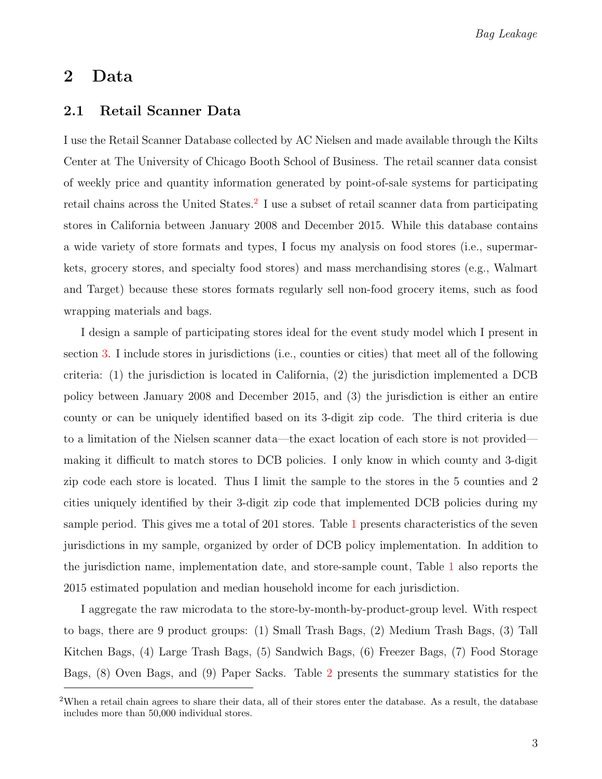Bag Leakage

## <span id="page-3-0"></span>2 Data

### 2.1 Retail Scanner Data

I use the Retail Scanner Database collected by AC Nielsen and made available through the Kilts Center at The University of Chicago Booth School of Business. The retail scanner data consist of weekly price and quantity information generated by point-of-sale systems for participating retail chains across the United States.<sup>[2](#page-3-1)</sup> I use a subset of retail scanner data from participating stores in California between January 2008 and December 2015. While this database contains a wide variety of store formats and types, I focus my analysis on food stores (i.e., supermarkets, grocery stores, and specialty food stores) and mass merchandising stores (e.g., Walmart and Target) because these stores formats regularly sell non-food grocery items, such as food wrapping materials and bags.

I design a sample of participating stores ideal for the event study model which I present in section [3.](#page-5-0) I include stores in jurisdictions (i.e., counties or cities) that meet all of the following criteria: (1) the jurisdiction is located in California, (2) the jurisdiction implemented a DCB policy between January 2008 and December 2015, and (3) the jurisdiction is either an entire county or can be uniquely identified based on its 3-digit zip code. The third criteria is due to a limitation of the Nielsen scanner data—the exact location of each store is not provided making it difficult to match stores to DCB policies. I only know in which county and 3-digit zip code each store is located. Thus I limit the sample to the stores in the 5 counties and 2 cities uniquely identified by their 3-digit zip code that implemented DCB policies during my sample period. This gives me a total of 201 stores. Table [1](#page-17-0) presents characteristics of the seven jurisdictions in my sample, organized by order of DCB policy implementation. In addition to the jurisdiction name, implementation date, and store-sample count, Table [1](#page-17-0) also reports the 2015 estimated population and median household income for each jurisdiction.

I aggregate the raw microdata to the store-by-month-by-product-group level. With respect to bags, there are 9 product groups: (1) Small Trash Bags, (2) Medium Trash Bags, (3) Tall Kitchen Bags, (4) Large Trash Bags, (5) Sandwich Bags, (6) Freezer Bags, (7) Food Storage Bags, (8) Oven Bags, and (9) Paper Sacks. Table [2](#page-18-0) presents the summary statistics for the

<span id="page-3-1"></span><sup>&</sup>lt;sup>2</sup>When a retail chain agrees to share their data, all of their stores enter the database. As a result, the database includes more than 50,000 individual stores.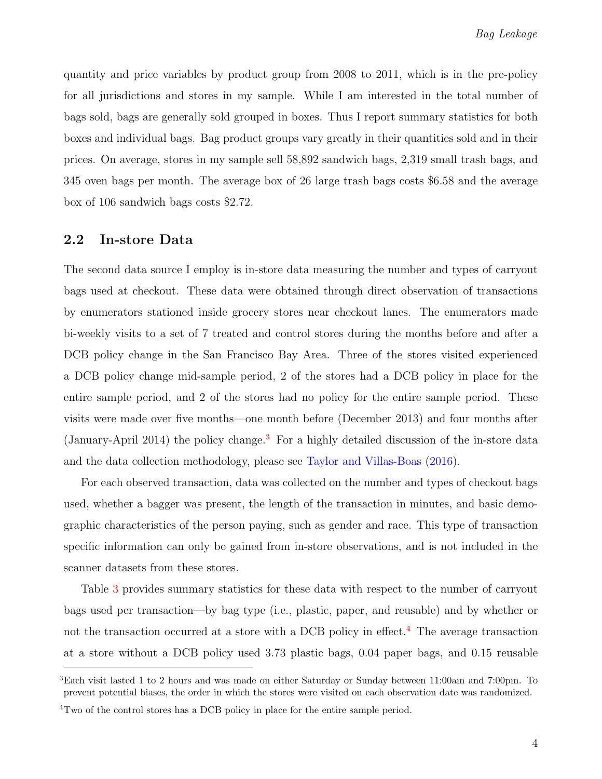quantity and price variables by product group from 2008 to 2011, which is in the pre-policy for all jurisdictions and stores in my sample. While I am interested in the total number of bags sold, bags are generally sold grouped in boxes. Thus I report summary statistics for both boxes and individual bags. Bag product groups vary greatly in their quantities sold and in their prices. On average, stores in my sample sell 58,892 sandwich bags, 2,319 small trash bags, and 345 oven bags per month. The average box of 26 large trash bags costs \$6.58 and the average box of 106 sandwich bags costs \$2.72.

### 2.2 In-store Data

The second data source I employ is in-store data measuring the number and types of carryout bags used at checkout. These data were obtained through direct observation of transactions by enumerators stationed inside grocery stores near checkout lanes. The enumerators made bi-weekly visits to a set of 7 treated and control stores during the months before and after a DCB policy change in the San Francisco Bay Area. Three of the stores visited experienced a DCB policy change mid-sample period, 2 of the stores had a DCB policy in place for the entire sample period, and 2 of the stores had no policy for the entire sample period. These visits were made over five months—one month before (December 2013) and four months after (January-April 2014) the policy change.<sup>[3](#page-4-0)</sup> For a highly detailed discussion of the in-store data and the data collection methodology, please see [Taylor and Villas-Boas](#page-15-3) [\(2016\)](#page-15-3).

For each observed transaction, data was collected on the number and types of checkout bags used, whether a bagger was present, the length of the transaction in minutes, and basic demographic characteristics of the person paying, such as gender and race. This type of transaction specific information can only be gained from in-store observations, and is not included in the scanner datasets from these stores.

Table [3](#page-20-0) provides summary statistics for these data with respect to the number of carryout bags used per transaction—by bag type (i.e., plastic, paper, and reusable) and by whether or not the transaction occurred at a store with a DCB policy in effect.<sup>[4](#page-4-1)</sup> The average transaction at a store without a DCB policy used 3.73 plastic bags, 0.04 paper bags, and 0.15 reusable

<span id="page-4-0"></span><sup>&</sup>lt;sup>3</sup>Each visit lasted 1 to 2 hours and was made on either Saturday or Sunday between 11:00am and 7:00pm. To prevent potential biases, the order in which the stores were visited on each observation date was randomized.

<span id="page-4-1"></span><sup>&</sup>lt;sup>4</sup>Two of the control stores has a DCB policy in place for the entire sample period.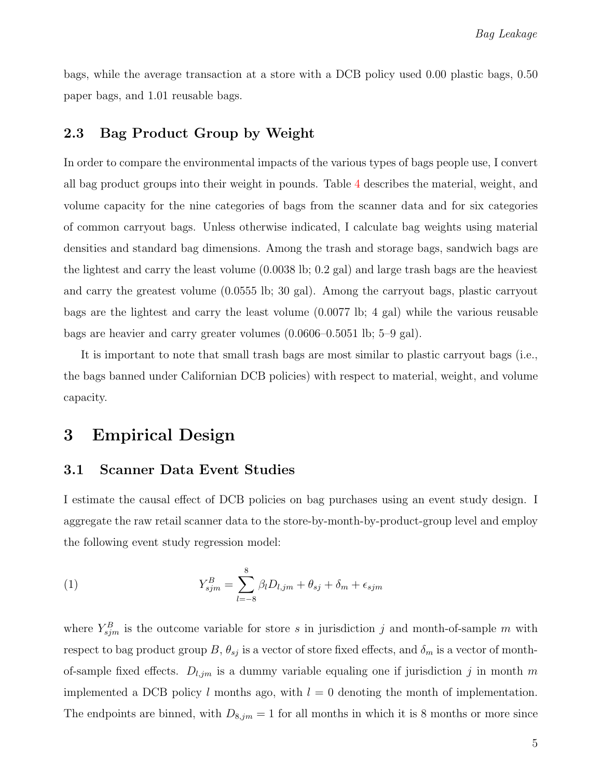bags, while the average transaction at a store with a DCB policy used 0.00 plastic bags, 0.50 paper bags, and 1.01 reusable bags.

### 2.3 Bag Product Group by Weight

<span id="page-5-2"></span>In order to compare the environmental impacts of the various types of bags people use, I convert all bag product groups into their weight in pounds. Table [4](#page-21-0) describes the material, weight, and volume capacity for the nine categories of bags from the scanner data and for six categories of common carryout bags. Unless otherwise indicated, I calculate bag weights using material densities and standard bag dimensions. Among the trash and storage bags, sandwich bags are the lightest and carry the least volume (0.0038 lb; 0.2 gal) and large trash bags are the heaviest and carry the greatest volume (0.0555 lb; 30 gal). Among the carryout bags, plastic carryout bags are the lightest and carry the least volume (0.0077 lb; 4 gal) while the various reusable bags are heavier and carry greater volumes (0.0606–0.5051 lb; 5–9 gal).

It is important to note that small trash bags are most similar to plastic carryout bags (i.e., the bags banned under Californian DCB policies) with respect to material, weight, and volume capacity.

# <span id="page-5-0"></span>3 Empirical Design

### 3.1 Scanner Data Event Studies

I estimate the causal effect of DCB policies on bag purchases using an event study design. I aggregate the raw retail scanner data to the store-by-month-by-product-group level and employ the following event study regression model:

<span id="page-5-1"></span>(1) 
$$
Y_{sjm}^B = \sum_{l=-8}^{8} \beta_l D_{l,jm} + \theta_{sj} + \delta_m + \epsilon_{sjm}
$$

where  $Y_{sjm}^B$  is the outcome variable for store s in jurisdiction j and month-of-sample m with respect to bag product group B,  $\theta_{sj}$  is a vector of store fixed effects, and  $\delta_m$  is a vector of monthof-sample fixed effects.  $D_{l,jm}$  is a dummy variable equaling one if jurisdiction j in month m implemented a DCB policy l months ago, with  $l = 0$  denoting the month of implementation. The endpoints are binned, with  $D_{8,jm} = 1$  for all months in which it is 8 months or more since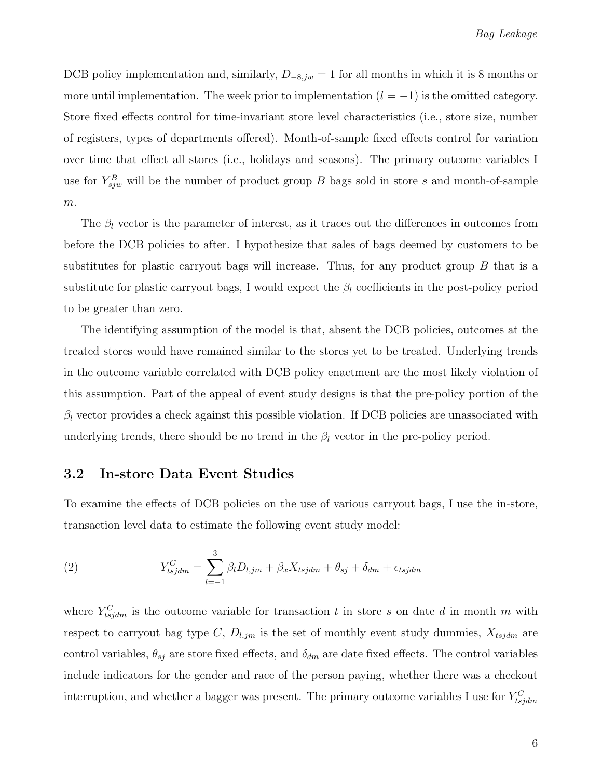DCB policy implementation and, similarly,  $D_{-8,jw} = 1$  for all months in which it is 8 months or more until implementation. The week prior to implementation  $(l = -1)$  is the omitted category. Store fixed effects control for time-invariant store level characteristics (i.e., store size, number of registers, types of departments offered). Month-of-sample fixed effects control for variation over time that effect all stores (i.e., holidays and seasons). The primary outcome variables I use for  $Y_{sjw}^B$  will be the number of product group B bags sold in store s and month-of-sample  $m$ .

<span id="page-6-1"></span>The  $\beta_l$  vector is the parameter of interest, as it traces out the differences in outcomes from before the DCB policies to after. I hypothesize that sales of bags deemed by customers to be substitutes for plastic carryout bags will increase. Thus, for any product group  $B$  that is a substitute for plastic carryout bags, I would expect the  $\beta_l$  coefficients in the post-policy period to be greater than zero.

The identifying assumption of the model is that, absent the DCB policies, outcomes at the treated stores would have remained similar to the stores yet to be treated. Underlying trends in the outcome variable correlated with DCB policy enactment are the most likely violation of this assumption. Part of the appeal of event study designs is that the pre-policy portion of the  $\beta_l$  vector provides a check against this possible violation. If DCB policies are unassociated with underlying trends, there should be no trend in the  $\beta_l$  vector in the pre-policy period.

#### 3.2 In-store Data Event Studies

To examine the effects of DCB policies on the use of various carryout bags, I use the in-store, transaction level data to estimate the following event study model:

<span id="page-6-0"></span>(2) 
$$
Y_{tsjdm}^C = \sum_{l=-1}^3 \beta_l D_{l,jm} + \beta_x X_{tsjdm} + \theta_{sj} + \delta_{dm} + \epsilon_{tsjdm}
$$

where  $Y_{t s j d m}^{C}$  is the outcome variable for transaction t in store s on date d in month m with respect to carryout bag type C,  $D_{l,jm}$  is the set of monthly event study dummies,  $X_{tsjdm}$  are control variables,  $\theta_{sj}$  are store fixed effects, and  $\delta_{dm}$  are date fixed effects. The control variables include indicators for the gender and race of the person paying, whether there was a checkout interruption, and whether a bagger was present. The primary outcome variables I use for  $Y_{tsjdm}^C$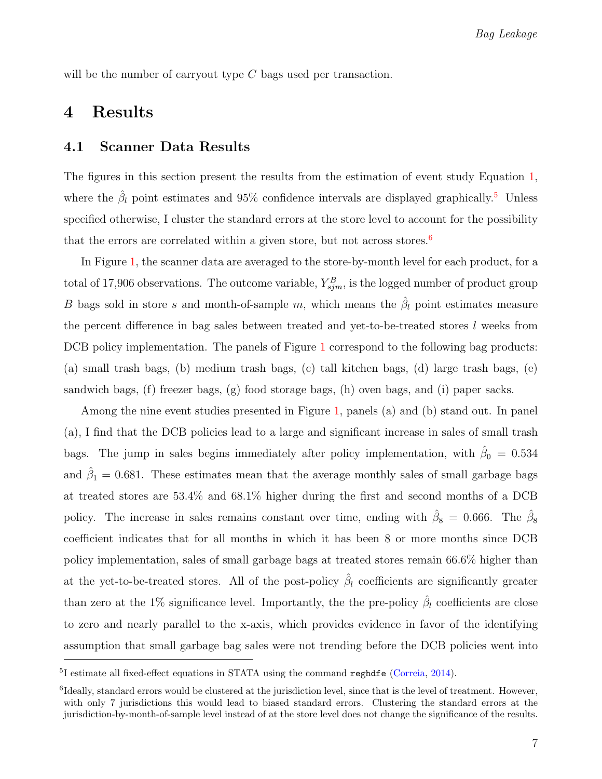will be the number of carryout type  $C$  bags used per transaction.

### <span id="page-7-0"></span>4 Results

### 4.1 Scanner Data Results

The figures in this section present the results from the estimation of event study Equation [1,](#page-5-1) where the  $\hat{\beta}_l$  point estimates and 9[5](#page-7-1)% confidence intervals are displayed graphically.<sup>5</sup> Unless specified otherwise, I cluster the standard errors at the store level to account for the possibility that the errors are correlated within a given store, but not across stores.<sup>[6](#page-7-2)</sup>

In Figure [1,](#page-23-0) the scanner data are averaged to the store-by-month level for each product, for a total of 17,906 observations. The outcome variable,  $Y_{sjm}^B$ , is the logged number of product group B bags sold in store s and month-of-sample m, which means the  $\hat{\beta}_l$  point estimates measure the percent difference in bag sales between treated and yet-to-be-treated stores l weeks from DCB policy implementation. The panels of Figure [1](#page-23-0) correspond to the following bag products: (a) small trash bags, (b) medium trash bags, (c) tall kitchen bags, (d) large trash bags, (e) sandwich bags, (f) freezer bags, (g) food storage bags, (h) oven bags, and (i) paper sacks.

Among the nine event studies presented in Figure [1,](#page-23-0) panels (a) and (b) stand out. In panel (a), I find that the DCB policies lead to a large and significant increase in sales of small trash bags. The jump in sales begins immediately after policy implementation, with  $\hat{\beta}_0 = 0.534$ and  $\hat{\beta}_1 = 0.681$ . These estimates mean that the average monthly sales of small garbage bags at treated stores are 53.4% and 68.1% higher during the first and second months of a DCB policy. The increase in sales remains constant over time, ending with  $\hat{\beta}_8 = 0.666$ . The  $\hat{\beta}_8$ coefficient indicates that for all months in which it has been 8 or more months since DCB policy implementation, sales of small garbage bags at treated stores remain 66.6% higher than at the yet-to-be-treated stores. All of the post-policy  $\hat{\beta}_l$  coefficients are significantly greater than zero at the 1% significance level. Importantly, the the pre-policy  $\hat{\beta}_l$  coefficients are close to zero and nearly parallel to the x-axis, which provides evidence in favor of the identifying assumption that small garbage bag sales were not trending before the DCB policies went into

<span id="page-7-1"></span><sup>&</sup>lt;sup>5</sup>I estimate all fixed-effect equations in STATA using the command reghdfe [\(Correia,](#page-14-3) [2014\)](#page-14-3).

<span id="page-7-2"></span> ${}^{6}$ Ideally, standard errors would be clustered at the jurisdiction level, since that is the level of treatment. However, with only 7 jurisdictions this would lead to biased standard errors. Clustering the standard errors at the jurisdiction-by-month-of-sample level instead of at the store level does not change the significance of the results.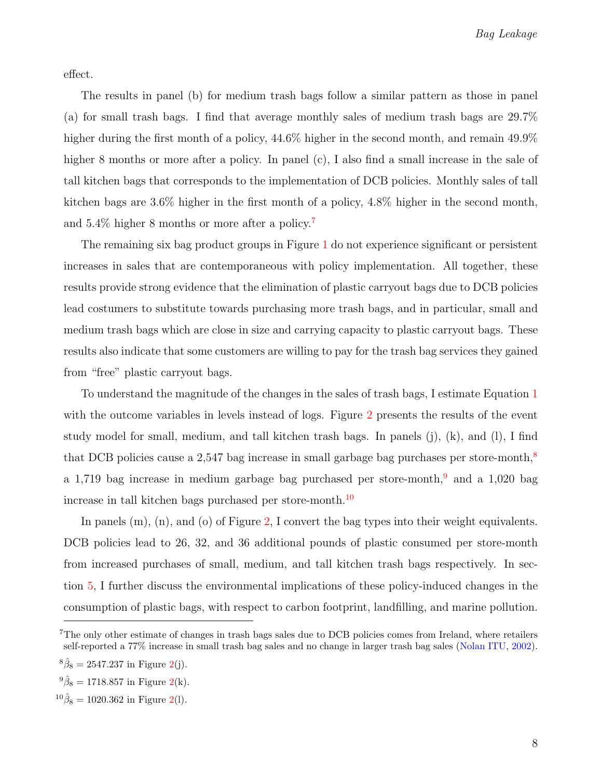effect.

The results in panel (b) for medium trash bags follow a similar pattern as those in panel (a) for small trash bags. I find that average monthly sales of medium trash bags are 29.7% higher during the first month of a policy,  $44.6\%$  higher in the second month, and remain  $49.9\%$ higher 8 months or more after a policy. In panel (c), I also find a small increase in the sale of tall kitchen bags that corresponds to the implementation of DCB policies. Monthly sales of tall kitchen bags are 3.6% higher in the first month of a policy, 4.8% higher in the second month, and  $5.4\%$  higher 8 months or more after a policy.<sup>[7](#page-8-0)</sup>

The remaining six bag product groups in Figure [1](#page-23-0) do not experience significant or persistent increases in sales that are contemporaneous with policy implementation. All together, these results provide strong evidence that the elimination of plastic carryout bags due to DCB policies lead costumers to substitute towards purchasing more trash bags, and in particular, small and medium trash bags which are close in size and carrying capacity to plastic carryout bags. These results also indicate that some customers are willing to pay for the trash bag services they gained from "free" plastic carryout bags.

To understand the magnitude of the changes in the sales of trash bags, I estimate Equation [1](#page-5-1) with the outcome variables in levels instead of logs. Figure [2](#page-24-0) presents the results of the event study model for small, medium, and tall kitchen trash bags. In panels (j), (k), and (l), I find that DCB policies cause a 2,547 bag increase in small garbage bag purchases per store-month,<sup>[8](#page-8-1)</sup> a 1,71[9](#page-8-2) bag increase in medium garbage bag purchased per store-month,  $9$  and a 1,020 bag increase in tall kitchen bags purchased per store-month.<sup>[10](#page-8-3)</sup>

In panels  $(m)$ ,  $(n)$ , and  $(o)$  of Figure [2,](#page-24-0) I convert the bag types into their weight equivalents. DCB policies lead to 26, 32, and 36 additional pounds of plastic consumed per store-month from increased purchases of small, medium, and tall kitchen trash bags respectively. In section [5,](#page-10-0) I further discuss the environmental implications of these policy-induced changes in the consumption of plastic bags, with respect to carbon footprint, landfilling, and marine pollution.

<span id="page-8-0"></span><sup>&</sup>lt;sup>7</sup>The only other estimate of changes in trash bags sales due to DCB policies comes from Ireland, where retailers self-reported a 77% increase in small trash bag sales and no change in larger trash bag sales [\(Nolan ITU,](#page-15-4) [2002\)](#page-15-4).

<span id="page-8-1"></span> ${}^8\hat{\beta}_8 = 2547.237$  in Figure [2\(](#page-24-0)j).

<span id="page-8-2"></span> ${}^{9}\hat{\beta}_8 = 1718.857$  in Figure [2\(](#page-24-0)k).

<span id="page-8-3"></span> $^{10}\hat{\beta}_8 = 1020.362$  in Figure [2\(](#page-24-0)1).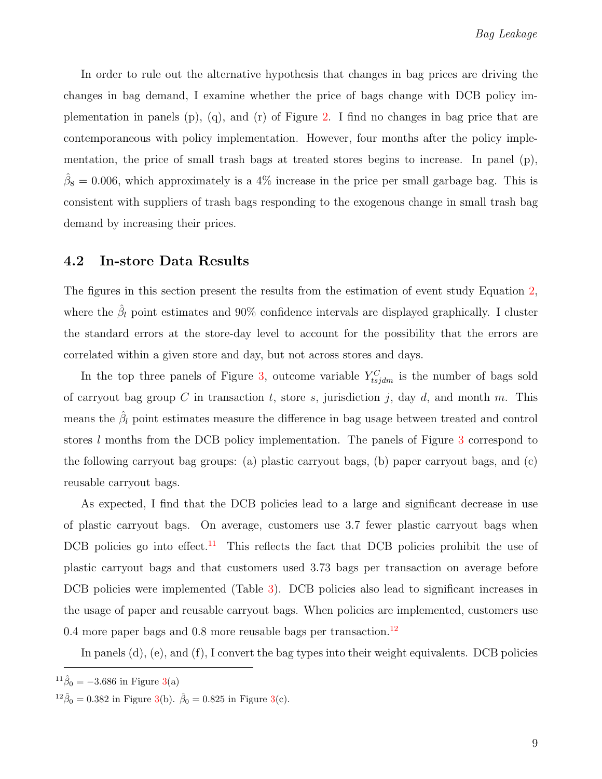In order to rule out the alternative hypothesis that changes in bag prices are driving the changes in bag demand, I examine whether the price of bags change with DCB policy implementation in panels  $(p)$ ,  $(q)$ , and  $(r)$  of Figure [2.](#page-24-0) I find no changes in bag price that are contemporaneous with policy implementation. However, four months after the policy implementation, the price of small trash bags at treated stores begins to increase. In panel (p),  $\hat{\beta}_8 = 0.006$ , which approximately is a 4% increase in the price per small garbage bag. This is consistent with suppliers of trash bags responding to the exogenous change in small trash bag demand by increasing their prices.

#### 4.2 In-store Data Results

The figures in this section present the results from the estimation of event study Equation [2,](#page-6-0) where the  $\hat{\beta}_l$  point estimates and 90% confidence intervals are displayed graphically. I cluster the standard errors at the store-day level to account for the possibility that the errors are correlated within a given store and day, but not across stores and days.

In the top three panels of Figure [3,](#page-25-0) outcome variable  $Y_{tsjdm}^C$  is the number of bags sold of carryout bag group  $C$  in transaction  $t$ , store  $s$ , jurisdiction  $j$ , day  $d$ , and month  $m$ . This means the  $\hat{\beta}_l$  point estimates measure the difference in bag usage between treated and control stores l months from the DCB policy implementation. The panels of Figure [3](#page-25-0) correspond to the following carryout bag groups: (a) plastic carryout bags, (b) paper carryout bags, and (c) reusable carryout bags.

As expected, I find that the DCB policies lead to a large and significant decrease in use of plastic carryout bags. On average, customers use 3.7 fewer plastic carryout bags when DCB policies go into effect.<sup>[11](#page-9-0)</sup> This reflects the fact that DCB policies prohibit the use of plastic carryout bags and that customers used 3.73 bags per transaction on average before DCB policies were implemented (Table [3\)](#page-20-0). DCB policies also lead to significant increases in the usage of paper and reusable carryout bags. When policies are implemented, customers use 0.4 more paper bags and 0.8 more reusable bags per transaction.<sup>[12](#page-9-1)</sup>

In panels (d), (e), and (f), I convert the bag types into their weight equivalents. DCB policies

<span id="page-9-0"></span> $^{11}\hat{\beta}_0 = -3.686$  in Figure [3\(](#page-25-0)a)

<span id="page-9-1"></span> $^{12}\hat{\beta}_0 = 0.382$  in Figure [3\(](#page-25-0)b).  $\hat{\beta}_0 = 0.825$  in Figure 3(c).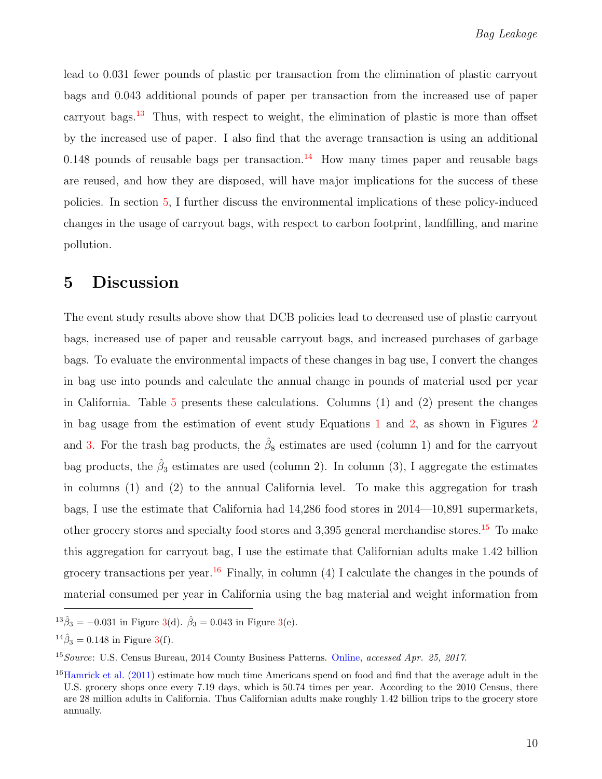lead to 0.031 fewer pounds of plastic per transaction from the elimination of plastic carryout bags and 0.043 additional pounds of paper per transaction from the increased use of paper carryout bags.<sup>[13](#page-10-1)</sup> Thus, with respect to weight, the elimination of plastic is more than offset by the increased use of paper. I also find that the average transaction is using an additional 0.[14](#page-10-2)8 pounds of reusable bags per transaction.<sup>14</sup> How many times paper and reusable bags are reused, and how they are disposed, will have major implications for the success of these policies. In section [5,](#page-10-0) I further discuss the environmental implications of these policy-induced changes in the usage of carryout bags, with respect to carbon footprint, landfilling, and marine pollution.

# <span id="page-10-0"></span>5 Discussion

The event study results above show that DCB policies lead to decreased use of plastic carryout bags, increased use of paper and reusable carryout bags, and increased purchases of garbage bags. To evaluate the environmental impacts of these changes in bag use, I convert the changes in bag use into pounds and calculate the annual change in pounds of material used per year in California. Table [5](#page-22-0) presents these calculations. Columns (1) and (2) present the changes in bag usage from the estimation of event study Equations [1](#page-5-1) and [2,](#page-6-0) as shown in Figures [2](#page-24-0) and [3.](#page-25-0) For the trash bag products, the  $\hat{\beta}_8$  estimates are used (column 1) and for the carryout bag products, the  $\hat{\beta}_3$  estimates are used (column 2). In column (3), I aggregate the estimates in columns (1) and (2) to the annual California level. To make this aggregation for trash bags, I use the estimate that California had 14,286 food stores in 2014—10,891 supermarkets, other grocery stores and specialty food stores and 3,395 general merchandise stores.<sup>[15](#page-10-3)</sup> To make this aggregation for carryout bag, I use the estimate that Californian adults make 1.42 billion grocery transactions per year.<sup>[16](#page-10-4)</sup> Finally, in column (4) I calculate the changes in the pounds of material consumed per year in California using the bag material and weight information from

<span id="page-10-1"></span> $^{13}\hat{\beta}_3 = -0.031$  in Figure [3\(](#page-25-0)d).  $\hat{\beta}_3 = 0.043$  in Figure 3(e).

<span id="page-10-2"></span> $^{14}\hat{\beta}_3 = 0.148$  in Figure [3\(](#page-25-0)f).

<span id="page-10-3"></span><sup>&</sup>lt;sup>15</sup> Source: U.S. Census Bureau, 2014 County Business Patterns. [Online,](https://factfinder.census.gov/faces/tableservices/jsf/pages/productview.xhtml?pid=BP_2014_00A1&prodType=table) accessed Apr. 25, 2017.

<span id="page-10-4"></span> $^{16}$ [Hamrick et al.](#page-15-5) [\(2011\)](#page-15-5) estimate how much time Americans spend on food and find that the average adult in the U.S. grocery shops once every 7.19 days, which is 50.74 times per year. According to the 2010 Census, there are 28 million adults in California. Thus Californian adults make roughly 1.42 billion trips to the grocery store annually.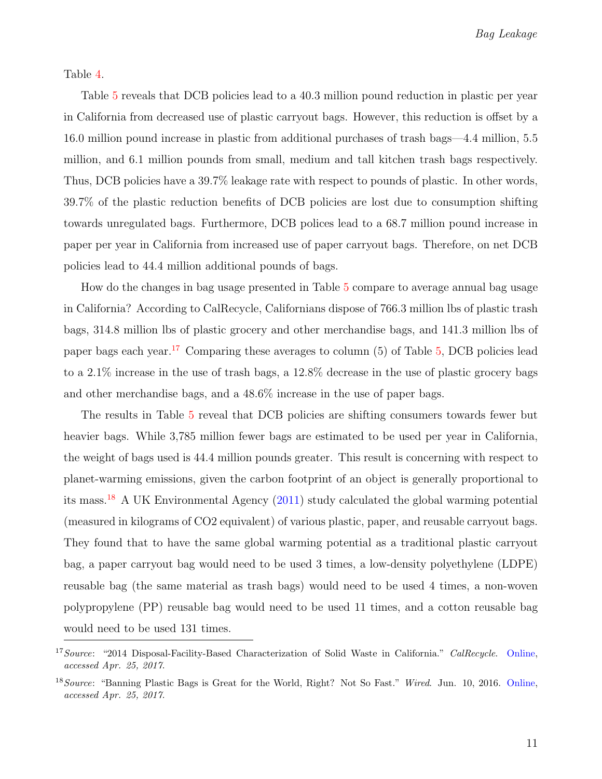Table [4.](#page-21-0)

Table [5](#page-22-0) reveals that DCB policies lead to a 40.3 million pound reduction in plastic per year in California from decreased use of plastic carryout bags. However, this reduction is offset by a 16.0 million pound increase in plastic from additional purchases of trash bags—4.4 million, 5.5 million, and 6.1 million pounds from small, medium and tall kitchen trash bags respectively. Thus, DCB policies have a 39.7% leakage rate with respect to pounds of plastic. In other words, 39.7% of the plastic reduction benefits of DCB policies are lost due to consumption shifting towards unregulated bags. Furthermore, DCB polices lead to a 68.7 million pound increase in paper per year in California from increased use of paper carryout bags. Therefore, on net DCB policies lead to 44.4 million additional pounds of bags.

How do the changes in bag usage presented in Table [5](#page-22-0) compare to average annual bag usage in California? According to CalRecycle, Californians dispose of 766.3 million lbs of plastic trash bags, 314.8 million lbs of plastic grocery and other merchandise bags, and 141.3 million lbs of paper bags each year.<sup>[17](#page-11-0)</sup> Comparing these averages to column  $(5)$  of Table [5,](#page-22-0) DCB policies lead to a 2.1% increase in the use of trash bags, a 12.8% decrease in the use of plastic grocery bags and other merchandise bags, and a 48.6% increase in the use of paper bags.

The results in Table [5](#page-22-0) reveal that DCB policies are shifting consumers towards fewer but heavier bags. While 3,785 million fewer bags are estimated to be used per year in California, the weight of bags used is 44.4 million pounds greater. This result is concerning with respect to planet-warming emissions, given the carbon footprint of an object is generally proportional to its mass.<sup>[18](#page-11-1)</sup> A UK Environmental Agency  $(2011)$  study calculated the global warming potential (measured in kilograms of CO2 equivalent) of various plastic, paper, and reusable carryout bags. They found that to have the same global warming potential as a traditional plastic carryout bag, a paper carryout bag would need to be used 3 times, a low-density polyethylene (LDPE) reusable bag (the same material as trash bags) would need to be used 4 times, a non-woven polypropylene (PP) reusable bag would need to be used 11 times, and a cotton reusable bag would need to be used 131 times.

<span id="page-11-0"></span><sup>&</sup>lt;sup>17</sup> Source: "2014 Disposal-Facility-Based Characterization of Solid Waste in California." CalRecycle. [Online,](http://www.calrecycle.ca.gov/Publications/Detail.aspx?PublicationID=1546) accessed Apr. 25, 2017.

<span id="page-11-1"></span><sup>&</sup>lt;sup>18</sup>Source: "Banning Plastic Bags is Great for the World, Right? Not So Fast." Wired. Jun. 10, 2016. [Online,](https://www.wired.com/2016/06/banning-plastic-bags-great-world-right-not-fast/) accessed Apr. 25, 2017.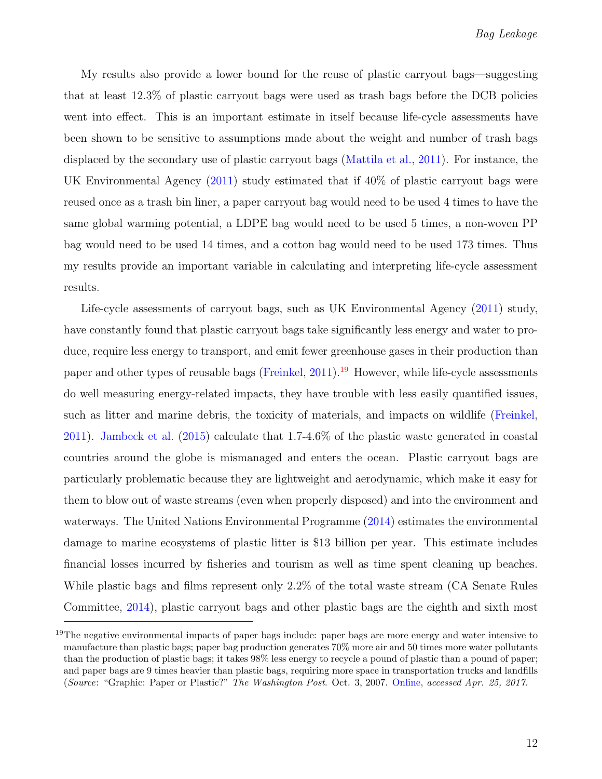My results also provide a lower bound for the reuse of plastic carryout bags—suggesting that at least 12.3% of plastic carryout bags were used as trash bags before the DCB policies went into effect. This is an important estimate in itself because life-cycle assessments have been shown to be sensitive to assumptions made about the weight and number of trash bags displaced by the secondary use of plastic carryout bags [\(Mattila et al.,](#page-15-0) [2011\)](#page-15-0). For instance, the UK Environmental Agency [\(2011\)](#page-14-4) study estimated that if 40% of plastic carryout bags were reused once as a trash bin liner, a paper carryout bag would need to be used 4 times to have the same global warming potential, a LDPE bag would need to be used 5 times, a non-woven PP bag would need to be used 14 times, and a cotton bag would need to be used 173 times. Thus my results provide an important variable in calculating and interpreting life-cycle assessment results.

Life-cycle assessments of carryout bags, such as UK Environmental Agency [\(2011\)](#page-14-4) study, have constantly found that plastic carryout bags take significantly less energy and water to produce, require less energy to transport, and emit fewer greenhouse gases in their production than paper and other types of reusable bags [\(Freinkel,](#page-15-6) [2011\)](#page-15-6).<sup>[19](#page-12-0)</sup> However, while life-cycle assessments do well measuring energy-related impacts, they have trouble with less easily quantified issues, such as litter and marine debris, the toxicity of materials, and impacts on wildlife [\(Freinkel,](#page-15-6) [2011\)](#page-15-6). [Jambeck et al.](#page-15-7) [\(2015\)](#page-15-7) calculate that 1.7-4.6% of the plastic waste generated in coastal countries around the globe is mismanaged and enters the ocean. Plastic carryout bags are particularly problematic because they are lightweight and aerodynamic, which make it easy for them to blow out of waste streams (even when properly disposed) and into the environment and waterways. The United Nations Environmental Programme [\(2014\)](#page-15-8) estimates the environmental damage to marine ecosystems of plastic litter is \$13 billion per year. This estimate includes financial losses incurred by fisheries and tourism as well as time spent cleaning up beaches. While plastic bags and films represent only 2.2% of the total waste stream (CA Senate Rules Committee, [2014\)](#page-14-5), plastic carryout bags and other plastic bags are the eighth and sixth most

<span id="page-12-0"></span><sup>&</sup>lt;sup>19</sup>The negative environmental impacts of paper bags include: paper bags are more energy and water intensive to manufacture than plastic bags; paper bag production generates 70% more air and 50 times more water pollutants than the production of plastic bags; it takes 98% less energy to recycle a pound of plastic than a pound of paper; and paper bags are 9 times heavier than plastic bags, requiring more space in transportation trucks and landfills (Source: "Graphic: Paper or Plastic?" The Washington Post. Oct. 3, 2007. [Online,](http://www.washingtonpost.com/wp-dyn/content/graphic/2007/10/03/GR2007100301385.html) accessed Apr. 25, 2017.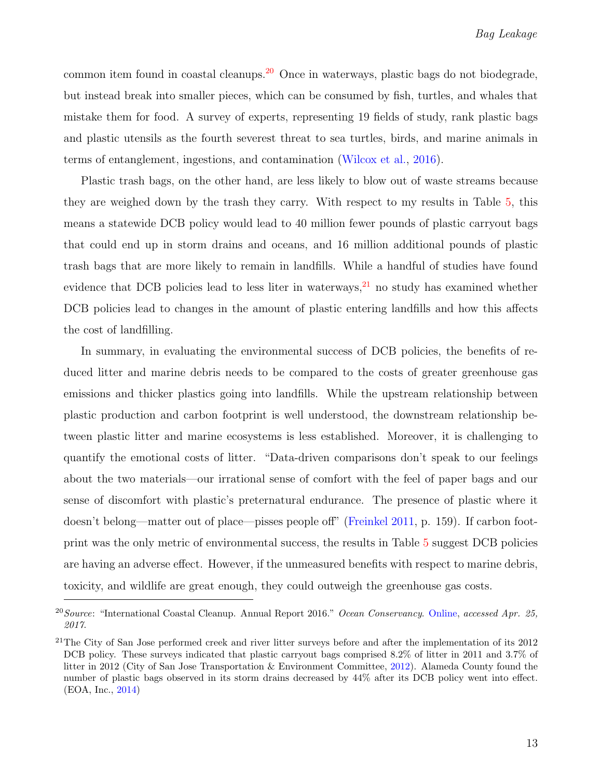common item found in coastal cleanups.[20](#page-13-0) Once in waterways, plastic bags do not biodegrade, but instead break into smaller pieces, which can be consumed by fish, turtles, and whales that mistake them for food. A survey of experts, representing 19 fields of study, rank plastic bags and plastic utensils as the fourth severest threat to sea turtles, birds, and marine animals in terms of entanglement, ingestions, and contamination [\(Wilcox et al.,](#page-16-0) [2016\)](#page-16-0).

Plastic trash bags, on the other hand, are less likely to blow out of waste streams because they are weighed down by the trash they carry. With respect to my results in Table [5,](#page-22-0) this means a statewide DCB policy would lead to 40 million fewer pounds of plastic carryout bags that could end up in storm drains and oceans, and 16 million additional pounds of plastic trash bags that are more likely to remain in landfills. While a handful of studies have found evidence that DCB policies lead to less liter in waterways,  $2<sup>1</sup>$  no study has examined whether DCB policies lead to changes in the amount of plastic entering landfills and how this affects the cost of landfilling.

In summary, in evaluating the environmental success of DCB policies, the benefits of reduced litter and marine debris needs to be compared to the costs of greater greenhouse gas emissions and thicker plastics going into landfills. While the upstream relationship between plastic production and carbon footprint is well understood, the downstream relationship between plastic litter and marine ecosystems is less established. Moreover, it is challenging to quantify the emotional costs of litter. "Data-driven comparisons don't speak to our feelings about the two materials—our irrational sense of comfort with the feel of paper bags and our sense of discomfort with plastic's preternatural endurance. The presence of plastic where it doesn't belong—matter out of place—pisses people off" [\(Freinkel](#page-15-6) [2011,](#page-15-6) p. 159). If carbon footprint was the only metric of environmental success, the results in Table [5](#page-22-0) suggest DCB policies are having an adverse effect. However, if the unmeasured benefits with respect to marine debris, toxicity, and wildlife are great enough, they could outweigh the greenhouse gas costs.

<span id="page-13-0"></span><sup>&</sup>lt;sup>20</sup>Source: "International Coastal Cleanup. Annual Report 2016." Ocean Conservancy. [Online,](http://www.oceanconservancy.org/our-work/marine-debris/2016-data-release/2016-data-release-1.pdf) accessed Apr. 25, 2017.

<span id="page-13-1"></span> $21$ The City of San Jose performed creek and river litter surveys before and after the implementation of its  $2012$ DCB policy. These surveys indicated that plastic carryout bags comprised 8.2% of litter in 2011 and 3.7% of litter in 2012 (City of San Jose Transportation & Environment Committee, [2012\)](#page-15-9). Alameda County found the number of plastic bags observed in its storm drains decreased by 44% after its DCB policy went into effect. (EOA, Inc., [2014\)](#page-15-10)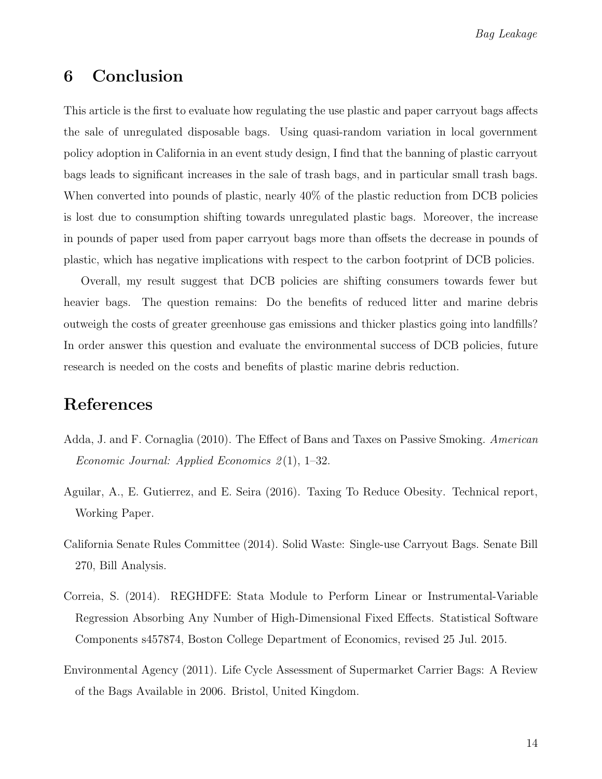Bag Leakage

## <span id="page-14-2"></span>6 Conclusion

This article is the first to evaluate how regulating the use plastic and paper carryout bags affects the sale of unregulated disposable bags. Using quasi-random variation in local government policy adoption in California in an event study design, I find that the banning of plastic carryout bags leads to significant increases in the sale of trash bags, and in particular small trash bags. When converted into pounds of plastic, nearly 40% of the plastic reduction from DCB policies is lost due to consumption shifting towards unregulated plastic bags. Moreover, the increase in pounds of paper used from paper carryout bags more than offsets the decrease in pounds of plastic, which has negative implications with respect to the carbon footprint of DCB policies.

Overall, my result suggest that DCB policies are shifting consumers towards fewer but heavier bags. The question remains: Do the benefits of reduced litter and marine debris outweigh the costs of greater greenhouse gas emissions and thicker plastics going into landfills? In order answer this question and evaluate the environmental success of DCB policies, future research is needed on the costs and benefits of plastic marine debris reduction.

# References

- <span id="page-14-0"></span>Adda, J. and F. Cornaglia (2010). The Effect of Bans and Taxes on Passive Smoking. American Economic Journal: Applied Economics  $2(1)$ , 1–32.
- <span id="page-14-1"></span>Aguilar, A., E. Gutierrez, and E. Seira (2016). Taxing To Reduce Obesity. Technical report, Working Paper.
- <span id="page-14-5"></span>California Senate Rules Committee (2014). Solid Waste: Single-use Carryout Bags. Senate Bill 270, Bill Analysis.
- <span id="page-14-3"></span>Correia, S. (2014). REGHDFE: Stata Module to Perform Linear or Instrumental-Variable Regression Absorbing Any Number of High-Dimensional Fixed Effects. Statistical Software Components s457874, Boston College Department of Economics, revised 25 Jul. 2015.
- <span id="page-14-4"></span>Environmental Agency (2011). Life Cycle Assessment of Supermarket Carrier Bags: A Review of the Bags Available in 2006. Bristol, United Kingdom.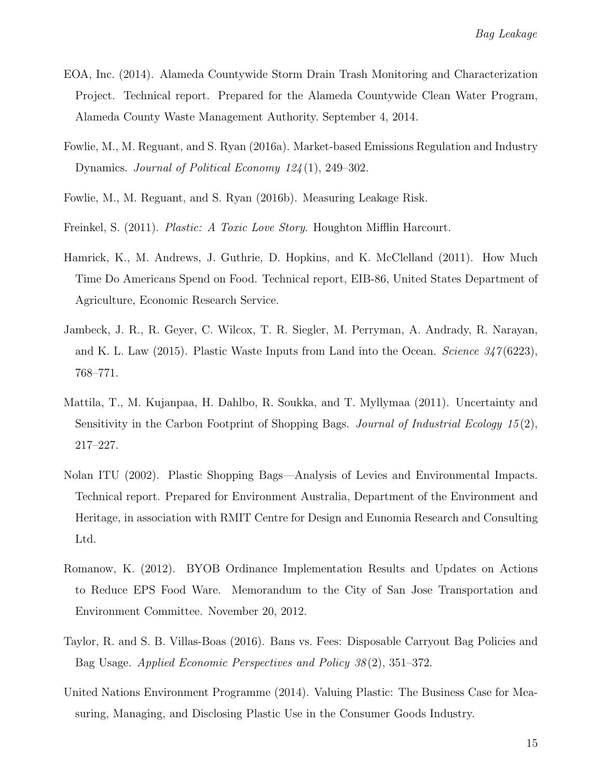- <span id="page-15-10"></span>EOA, Inc. (2014). Alameda Countywide Storm Drain Trash Monitoring and Characterization Project. Technical report. Prepared for the Alameda Countywide Clean Water Program, Alameda County Waste Management Authority. September 4, 2014.
- <span id="page-15-1"></span>Fowlie, M., M. Reguant, and S. Ryan (2016a). Market-based Emissions Regulation and Industry Dynamics. Journal of Political Economy 124 (1), 249–302.
- <span id="page-15-2"></span>Fowlie, M., M. Reguant, and S. Ryan (2016b). Measuring Leakage Risk.
- <span id="page-15-6"></span>Freinkel, S. (2011). Plastic: A Toxic Love Story. Houghton Mifflin Harcourt.
- <span id="page-15-5"></span>Hamrick, K., M. Andrews, J. Guthrie, D. Hopkins, and K. McClelland (2011). How Much Time Do Americans Spend on Food. Technical report, EIB-86, United States Department of Agriculture, Economic Research Service.
- <span id="page-15-7"></span>Jambeck, J. R., R. Geyer, C. Wilcox, T. R. Siegler, M. Perryman, A. Andrady, R. Narayan, and K. L. Law (2015). Plastic Waste Inputs from Land into the Ocean. Science  $347(6223)$ , 768–771.
- <span id="page-15-0"></span>Mattila, T., M. Kujanpaa, H. Dahlbo, R. Soukka, and T. Myllymaa (2011). Uncertainty and Sensitivity in the Carbon Footprint of Shopping Bags. Journal of Industrial Ecology  $15(2)$ , 217–227.
- <span id="page-15-4"></span>Nolan ITU (2002). Plastic Shopping Bags—Analysis of Levies and Environmental Impacts. Technical report. Prepared for Environment Australia, Department of the Environment and Heritage, in association with RMIT Centre for Design and Eunomia Research and Consulting Ltd.
- <span id="page-15-9"></span>Romanow, K. (2012). BYOB Ordinance Implementation Results and Updates on Actions to Reduce EPS Food Ware. Memorandum to the City of San Jose Transportation and Environment Committee. November 20, 2012.
- <span id="page-15-3"></span>Taylor, R. and S. B. Villas-Boas (2016). Bans vs. Fees: Disposable Carryout Bag Policies and Bag Usage. Applied Economic Perspectives and Policy 38 (2), 351–372.
- <span id="page-15-8"></span>United Nations Environment Programme (2014). Valuing Plastic: The Business Case for Measuring, Managing, and Disclosing Plastic Use in the Consumer Goods Industry.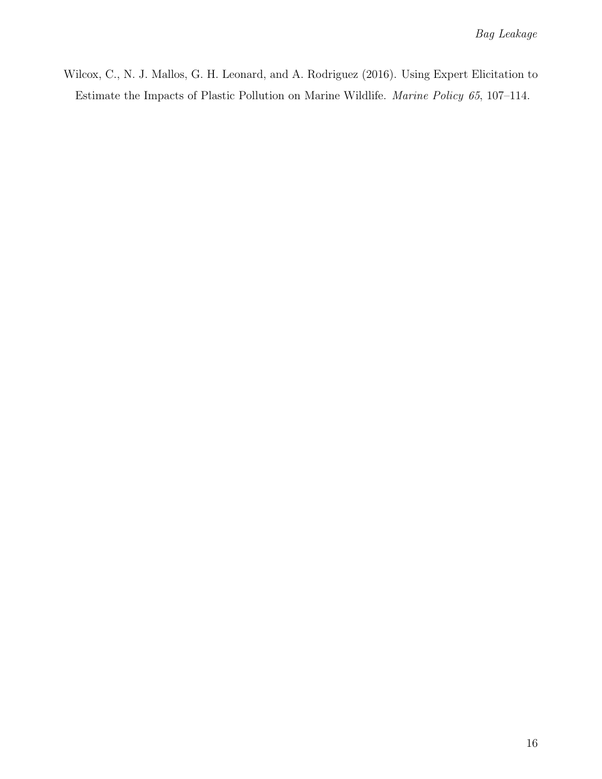<span id="page-16-0"></span>Wilcox, C., N. J. Mallos, G. H. Leonard, and A. Rodriguez (2016). Using Expert Elicitation to Estimate the Impacts of Plastic Pollution on Marine Wildlife. Marine Policy 65, 107–114.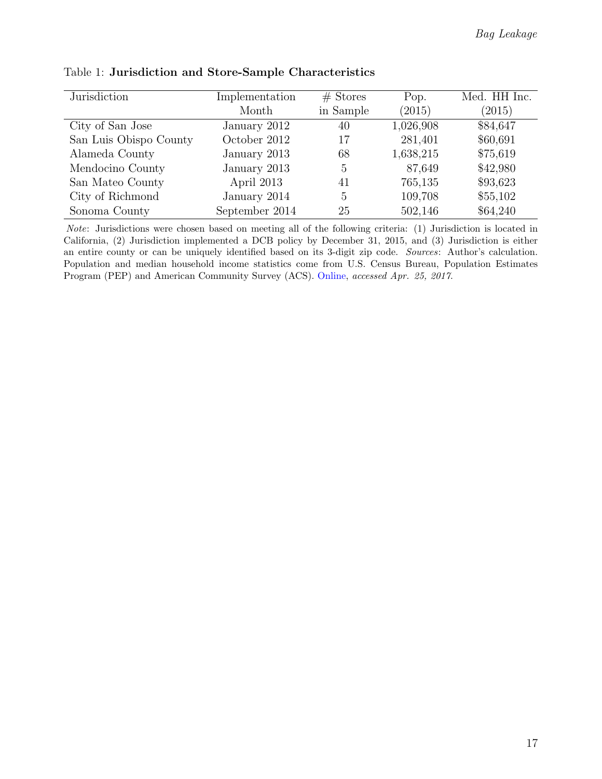| Jurisdiction           | Implementation | $#$ Stores | Pop.      | Med. HH Inc. |
|------------------------|----------------|------------|-----------|--------------|
|                        | Month          | in Sample  | (2015)    | (2015)       |
| City of San Jose       | January 2012   | 40         | 1,026,908 | \$84,647     |
| San Luis Obispo County | October 2012   | 17         | 281,401   | \$60,691     |
| Alameda County         | January 2013   | 68         | 1,638,215 | \$75,619     |
| Mendocino County       | January 2013   | 5          | 87,649    | \$42,980     |
| San Mateo County       | April 2013     | 41         | 765,135   | \$93,623     |
| City of Richmond       | January 2014   | 5          | 109,708   | \$55,102     |
| Sonoma County          | September 2014 | 25         | 502,146   | \$64,240     |

<span id="page-17-0"></span>Table 1: Jurisdiction and Store-Sample Characteristics

Note: Jurisdictions were chosen based on meeting all of the following criteria: (1) Jurisdiction is located in California, (2) Jurisdiction implemented a DCB policy by December 31, 2015, and (3) Jurisdiction is either an entire county or can be uniquely identified based on its 3-digit zip code. Sources: Author's calculation. Population and median household income statistics come from U.S. Census Bureau, Population Estimates Program (PEP) and American Community Survey (ACS). [Online,](https://www.census.gov/quickfacts/table/PST045216/06001) accessed Apr. 25, 2017.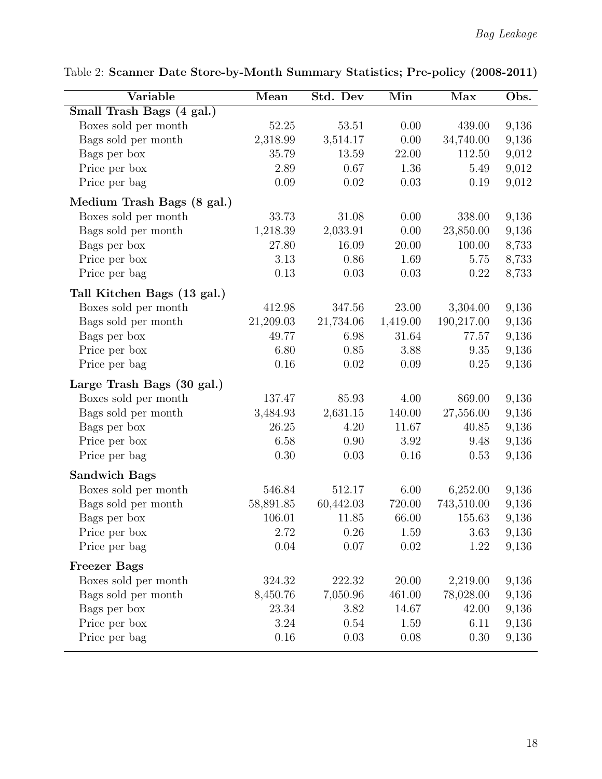| Variable                    | Mean      | Std. Dev  | $\overline{\text{Min}}$ | Max        | Obs.  |
|-----------------------------|-----------|-----------|-------------------------|------------|-------|
| Small Trash Bags (4 gal.)   |           |           |                         |            |       |
| Boxes sold per month        | 52.25     | 53.51     | 0.00                    | 439.00     | 9,136 |
| Bags sold per month         | 2,318.99  | 3,514.17  | 0.00                    | 34,740.00  | 9,136 |
| Bags per box                | 35.79     | 13.59     | 22.00                   | 112.50     | 9,012 |
| Price per box               | 2.89      | 0.67      | 1.36                    | 5.49       | 9,012 |
| Price per bag               | 0.09      | 0.02      | 0.03                    | 0.19       | 9,012 |
| Medium Trash Bags (8 gal.)  |           |           |                         |            |       |
| Boxes sold per month        | 33.73     | 31.08     | 0.00                    | 338.00     | 9,136 |
| Bags sold per month         | 1,218.39  | 2,033.91  | 0.00                    | 23,850.00  | 9,136 |
| Bags per box                | 27.80     | 16.09     | 20.00                   | 100.00     | 8,733 |
| Price per box               | 3.13      | 0.86      | 1.69                    | 5.75       | 8,733 |
| Price per bag               | 0.13      | 0.03      | 0.03                    | 0.22       | 8,733 |
| Tall Kitchen Bags (13 gal.) |           |           |                         |            |       |
| Boxes sold per month        | 412.98    | 347.56    | 23.00                   | 3,304.00   | 9,136 |
| Bags sold per month         | 21,209.03 | 21,734.06 | 1,419.00                | 190,217.00 | 9,136 |
| Bags per box                | 49.77     | 6.98      | 31.64                   | 77.57      | 9,136 |
| Price per box               | 6.80      | 0.85      | 3.88                    | 9.35       | 9,136 |
| Price per bag               | 0.16      | 0.02      | 0.09                    | 0.25       | 9,136 |
| Large Trash Bags (30 gal.)  |           |           |                         |            |       |
| Boxes sold per month        | 137.47    | 85.93     | 4.00                    | 869.00     | 9,136 |
| Bags sold per month         | 3,484.93  | 2,631.15  | $140.00\,$              | 27,556.00  | 9,136 |
| Bags per box                | 26.25     | 4.20      | 11.67                   | 40.85      | 9,136 |
| Price per box               | 6.58      | 0.90      | 3.92                    | 9.48       | 9,136 |
| Price per bag               | 0.30      | 0.03      | 0.16                    | 0.53       | 9,136 |
| <b>Sandwich Bags</b>        |           |           |                         |            |       |
| Boxes sold per month        | 546.84    | 512.17    | 6.00                    | 6,252.00   | 9,136 |
| Bags sold per month         | 58,891.85 | 60,442.03 | 720.00                  | 743,510.00 | 9,136 |
| Bags per box                | 106.01    | 11.85     | 66.00                   | 155.63     | 9,136 |
| Price per box               | 2.72      | 0.26      | 1.59                    | $3.63\,$   | 9,136 |
| Price per bag               | $0.04\,$  | 0.07      | 0.02                    | 1.22       | 9,136 |
| <b>Freezer Bags</b>         |           |           |                         |            |       |
| Boxes sold per month        | 324.32    | 222.32    | 20.00                   | 2,219.00   | 9,136 |
| Bags sold per month         | 8,450.76  | 7,050.96  | 461.00                  | 78,028.00  | 9,136 |
| Bags per box                | 23.34     | 3.82      | 14.67                   | 42.00      | 9,136 |
| Price per box               | 3.24      | 0.54      | 1.59                    | 6.11       | 9,136 |
| Price per bag               | 0.16      | 0.03      | 0.08                    | 0.30       | 9,136 |

<span id="page-18-0"></span>Table 2: Scanner Date Store-by-Month Summary Statistics; Pre-policy (2008-2011)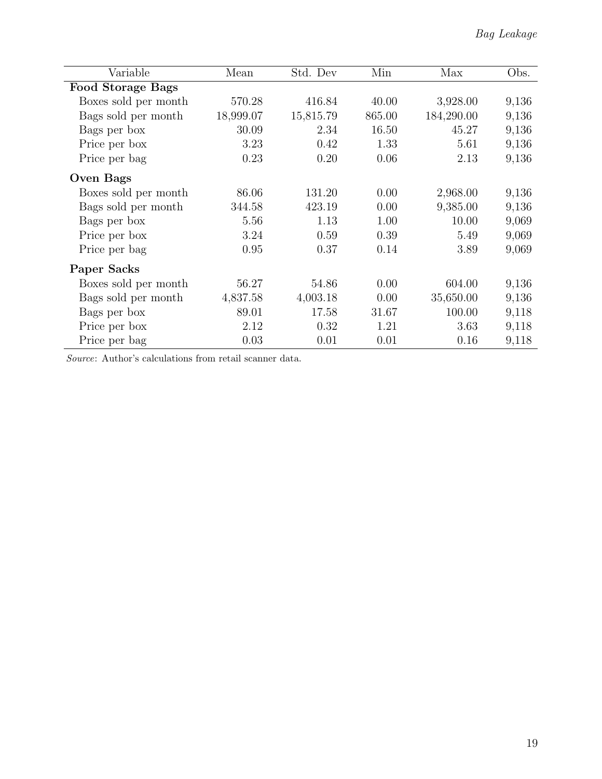| Variable                 | Mean      | Std. Dev  | Min    | Max        | Obs.  |
|--------------------------|-----------|-----------|--------|------------|-------|
| <b>Food Storage Bags</b> |           |           |        |            |       |
| Boxes sold per month     | 570.28    | 416.84    | 40.00  | 3,928.00   | 9,136 |
| Bags sold per month      | 18,999.07 | 15,815.79 | 865.00 | 184,290.00 | 9,136 |
| Bags per box             | 30.09     | 2.34      | 16.50  | 45.27      | 9,136 |
| Price per box            | 3.23      | 0.42      | 1.33   | 5.61       | 9,136 |
| Price per bag            | 0.23      | 0.20      | 0.06   | 2.13       | 9,136 |
| <b>Oven Bags</b>         |           |           |        |            |       |
| Boxes sold per month     | 86.06     | 131.20    | 0.00   | 2,968.00   | 9,136 |
| Bags sold per month      | 344.58    | 423.19    | 0.00   | 9,385.00   | 9,136 |
| Bags per box             | 5.56      | 1.13      | 1.00   | 10.00      | 9,069 |
| Price per box            | 3.24      | 0.59      | 0.39   | 5.49       | 9,069 |
| Price per bag            | 0.95      | 0.37      | 0.14   | 3.89       | 9,069 |
| Paper Sacks              |           |           |        |            |       |
| Boxes sold per month     | 56.27     | 54.86     | 0.00   | 604.00     | 9,136 |
| Bags sold per month      | 4,837.58  | 4,003.18  | 0.00   | 35,650.00  | 9,136 |
| Bags per box             | 89.01     | 17.58     | 31.67  | 100.00     | 9,118 |
| Price per box            | 2.12      | 0.32      | 1.21   | 3.63       | 9,118 |
| Price per bag            | 0.03      | 0.01      | 0.01   | 0.16       | 9,118 |

Source: Author's calculations from retail scanner data.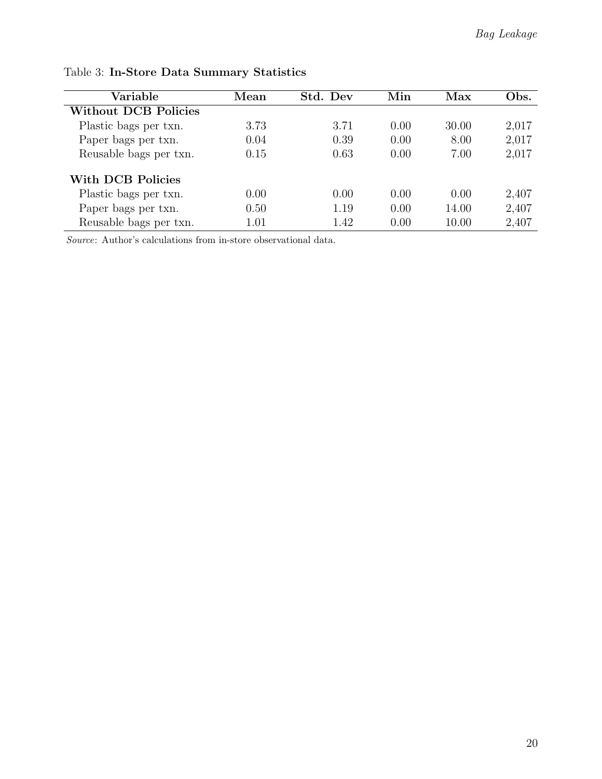| Variable                    | Mean | Std. Dev | Min  | Max   | Obs.  |
|-----------------------------|------|----------|------|-------|-------|
| <b>Without DCB Policies</b> |      |          |      |       |       |
| Plastic bags per txn.       | 3.73 | 3.71     | 0.00 | 30.00 | 2,017 |
| Paper bags per txn.         | 0.04 | 0.39     | 0.00 | 8.00  | 2,017 |
| Reusable bags per txn.      | 0.15 | 0.63     | 0.00 | 7.00  | 2,017 |
| With DCB Policies           |      |          |      |       |       |
| Plastic bags per txn.       | 0.00 | 0.00     | 0.00 | 0.00  | 2,407 |
| Paper bags per txn.         | 0.50 | 1.19     | 0.00 | 14.00 | 2,407 |
| Reusable bags per txn.      | 1.01 | 1.42     | 0.00 | 10.00 | 2,407 |

<span id="page-20-0"></span>Table 3: In-Store Data Summary Statistics

Source: Author's calculations from in-store observational data.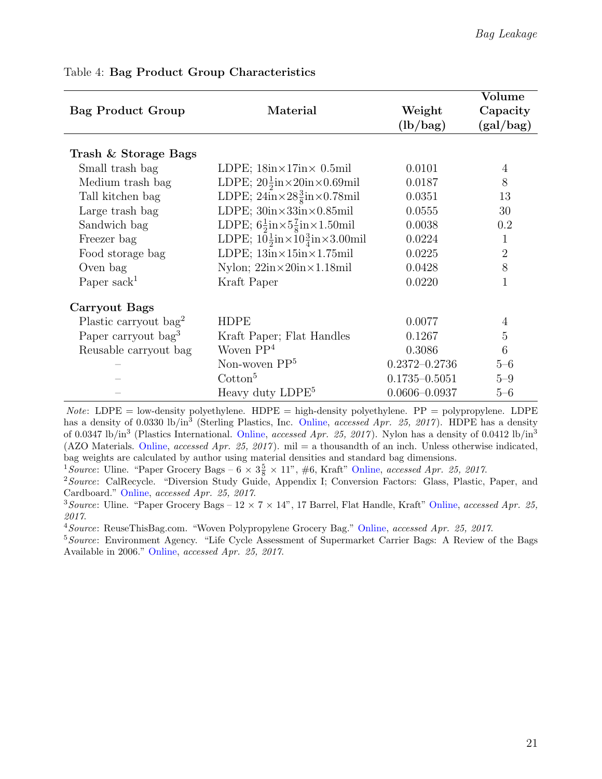|                                 |                                                                      |                   | Volume         |
|---------------------------------|----------------------------------------------------------------------|-------------------|----------------|
| <b>Bag Product Group</b>        | Material                                                             | Weight            | Capacity       |
|                                 |                                                                      | (lb/bag)          | (gal/bag)      |
|                                 |                                                                      |                   |                |
| Trash & Storage Bags            |                                                                      |                   |                |
| Small trash bag                 | LDPE; $18in \times 17in \times 0.5mi$                                | 0.0101            | 4              |
| Medium trash bag                | LDPE; $20\frac{1}{2}$ in× $20$ in× $0.69$ mil                        | 0.0187            | 8              |
| Tall kitchen bag                | LDPE; $24in\times28\frac{3}{8}in\times0.78mi$                        | 0.0351            | 13             |
| Large trash bag                 | LDPE; $30in \times 33in \times 0.85mi$                               | 0.0555            | 30             |
| Sandwich bag                    | LDPE; $6\frac{1}{2}$ in $\times$ 5 $\frac{7}{8}$ in $\times$ 1.50mil | 0.0038            | 0.2            |
| Freezer bag                     | LDPE; $10\frac{1}{2}$ in $\times 10\frac{3}{4}$ in $\times 3.00$ mil | 0.0224            | 1              |
| Food storage bag                | LDPE; $13in \times 15in \times 1.75mi$                               | 0.0225            | $\overline{2}$ |
| Oven bag                        | Nylon; $22in \times 20in \times 1.18mi$                              | 0.0428            | 8              |
| Paper sack <sup>1</sup>         | Kraft Paper                                                          | 0.0220            | 1              |
| Carryout Bags                   |                                                                      |                   |                |
| Plastic carryout $bag2$         | <b>HDPE</b>                                                          | 0.0077            | $\overline{4}$ |
| Paper carryout bag <sup>3</sup> | Kraft Paper; Flat Handles                                            | 0.1267            | $\overline{5}$ |
| Reusable carryout bag           | Woven $PP4$                                                          | 0.3086            | 6              |
|                                 | Non-woven $PP5$                                                      | $0.2372 - 0.2736$ | $5 - 6$        |
|                                 | $\mathrm{Cotton}^5$                                                  | $0.1735 - 0.5051$ | $5 - 9$        |
|                                 | Heavy duty LDPE <sup>5</sup>                                         | $0.0606 - 0.0937$ | $5 - 6$        |

#### <span id="page-21-0"></span>Table 4: Bag Product Group Characteristics

 $Note: LDPE = low-density polyethylene. HDPE = high-density polyethylene. PP = polypropylene. LDPE$ has a density of 0.0330 lb/in<sup>3</sup> (Sterling Plastics, Inc. [Online,](http://sterlingplasticsinc.com/materials/ldpe-low-density-polyethylene/) accessed Apr. 25, 2017). HDPE has a density of 0.0347 lb/in<sup>3</sup> (Plastics International. [Online,](https://www.plasticsintl.com/datasheets/HDPE.pdf) accessed Apr. 25, 2017). Nylon has a density of 0.0412 lb/in<sup>3</sup> (AZO Materials. [Online,](http://www.azom.com/article.aspx?ArticleID=477) accessed Apr. 25, 2017). mil = a thousandth of an inch. Unless otherwise indicated, bag weights are calculated by author using material densities and standard bag dimensions.

<sup>1</sup>Source: Uline. "Paper Grocery Bags –  $6 \times 3\frac{5}{8} \times 11$ ", #6, Kraft" [Online,](https://www.uline.com/Product/Detail/S-7083/Retail-Bags-Paper/Paper-Grocery-Bags-6-x-3-5-8-x-11-6-Kraft) accessed Apr. 25, 2017.

<sup>2</sup> Source: CalRecycle. "Diversion Study Guide, Appendix I; Conversion Factors: Glass, Plastic, Paper, and Cardboard." [Online,](http://www.calrecycle.ca.gov/LGCentral/Library/DSG/IRecycl.htm) accessed Apr. 25, 2017.

<sup>3</sup>Source: Uline. "Paper Grocery Bags –  $12 \times 7 \times 14$ ", 17 Barrel, Flat Handle, Kraft" [Online,](https://www.uline.com/Product/Detail/S-18691/Retail-Bags-Paper/Paper-Grocery-Bags-12-x-7-x-14-1-7-Barrel-Flat-Handle-Kraft) accessed Apr. 25, 2017.

<sup>4</sup> Source: ReuseThisBag.com. "Woven Polypropylene Grocery Bag." [Online,](https://www.reusethisbag.com/product/woven-grocery-bag) accessed Apr. 25, 2017.

<sup>5</sup>Source: Environment Agency. "Life Cycle Assessment of Supermarket Carrier Bags: A Review of the Bags Available in 2006." [Online,](https://www.gov.uk/government/uploads/system/uploads/attachment_data/file/291023/scho0711buan-e-e.pdf) accessed Apr. 25, 2017.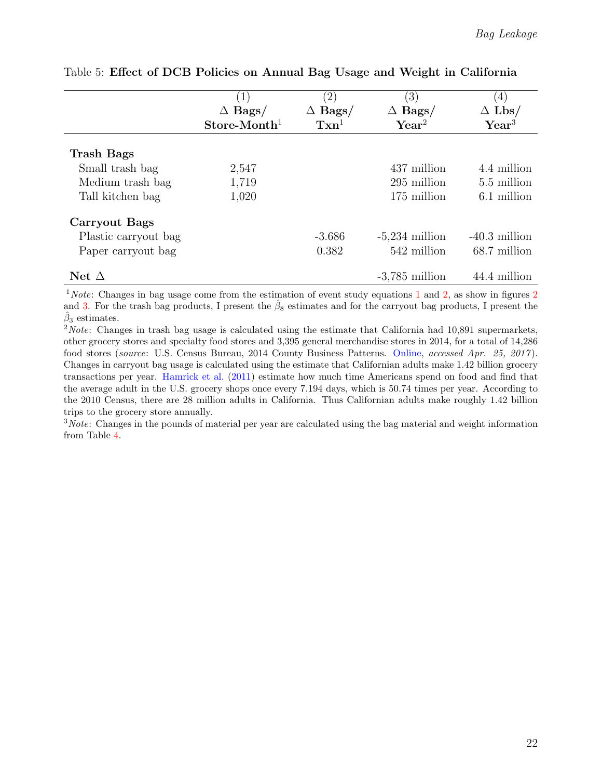|                      | (1)            | $\left( 2\right)$                   | $\left(3\right)$ | $\left(4\right)$ |
|----------------------|----------------|-------------------------------------|------------------|------------------|
|                      | $\Delta$ Bags/ | $\Delta$ Bags/                      | $\Delta$ Bags/   | $\Delta$ Lbs/    |
|                      | $Store-Month1$ | $\mathrm{T}\mathrm{x} \mathrm{n}^1$ | $\text{Year}^2$  | $\text{Year}^3$  |
|                      |                |                                     |                  |                  |
| <b>Trash Bags</b>    |                |                                     |                  |                  |
| Small trash bag      | 2,547          |                                     | 437 million      | 4.4 million      |
| Medium trash bag     | 1,719          |                                     | 295 million      | 5.5 million      |
| Tall kitchen bag     | 1,020          |                                     | 175 million      | 6.1 million      |
| Carryout Bags        |                |                                     |                  |                  |
| Plastic carryout bag |                | $-3.686$                            | $-5,234$ million | $-40.3$ million  |
| Paper carryout bag   |                | 0.382                               | 542 million      | 68.7 million     |
| Net $\Delta$         |                |                                     | $-3,785$ million | 44.4 million     |

#### <span id="page-22-0"></span>Table 5: Effect of DCB Policies on Annual Bag Usage and Weight in California

 $1$ Note: Changes in bag usage come from the estimation of event study equations 1 and [2,](#page-6-0) as show in figures [2](#page-24-0) and [3.](#page-25-0) For the trash bag products, I present the  $\hat{\beta}_8$  estimates and for the carryout bag products, I present the  $\hat{\beta}_3$  estimates.

 $2Note: Changes in trash bag usage is calculated using the estimate that California had 10,891 supermarks,$ other grocery stores and specialty food stores and 3,395 general merchandise stores in 2014, for a total of 14,286 food stores (source: U.S. Census Bureau, 2014 County Business Patterns. [Online,](https://factfinder.census.gov/faces/tableservices/jsf/pages/productview.xhtml?pid=BP_2014_00A1&prodType=table) accessed Apr. 25, 2017 ). Changes in carryout bag usage is calculated using the estimate that Californian adults make 1.42 billion grocery transactions per year. [Hamrick et al.](#page-15-5) [\(2011\)](#page-15-5) estimate how much time Americans spend on food and find that the average adult in the U.S. grocery shops once every 7.194 days, which is 50.74 times per year. According to the 2010 Census, there are 28 million adults in California. Thus Californian adults make roughly 1.42 billion trips to the grocery store annually.

<sup>3</sup>Note: Changes in the pounds of material per year are calculated using the bag material and weight information from Table [4.](#page-21-0)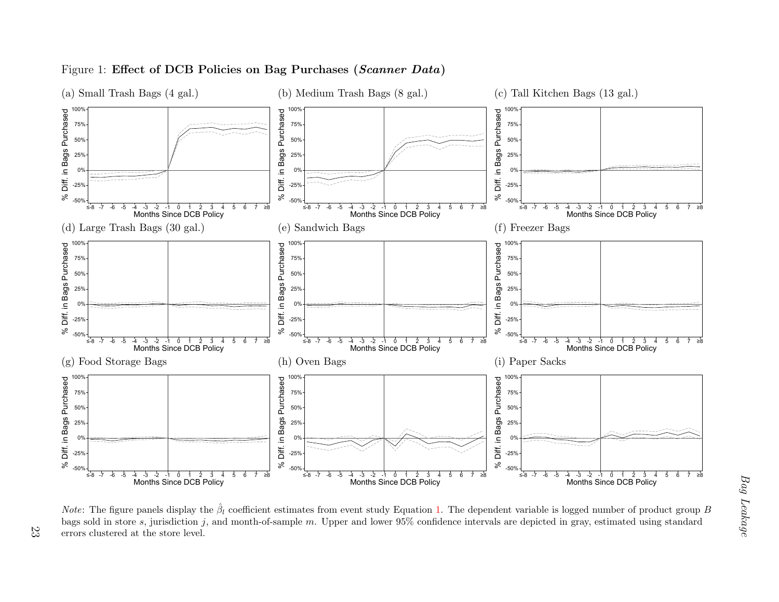

#### Figure 1: Effect of DCB Policies on Bag Purchases  $(Scanner\ Data)$

<span id="page-23-0"></span>23

8 -7 -6 -5 -4 -3 -2 -1 0 1 - 2 -3 -4 -5 6 7 ≥8<br>Months Since DCB Policy<br>The figure panels display the  $\hat{\beta}_l$  coefficient<br>Id in store *s*, jurisdiction *j*, and month-of<br>clustered at the store level.  $8$  -7 -6 -5 -4 -3 -2 -1 0 1 - 2 -3 -4 -5 6 7  $\geq$ 8<br>Months Since DCB Policy<br>es from event study Equation 1. The depe<br>m. Upper and lower 95% confidence interv  $8 - 7 - 6 - 5 - 4 - 3 - 2 - 1 - 0 - 1 - 2 - 3 - 4 - 5 = 6 - 7 - 28$ <br>
Fiable is logged number of product group<br>
lepicted in gray, estimated using standard *Note*: The figure panels display the  $\hat{\beta}_l$  coefficient estimates from event study Equation [1.](#page-5-2) The dependent variable is logged number of product group B bags sold in store s, jurisdiction j, and month-of-sample m. Upper and lower  $95\%$  confidence intervals are depicted in gray, estimated using standard errors clustered at the store level.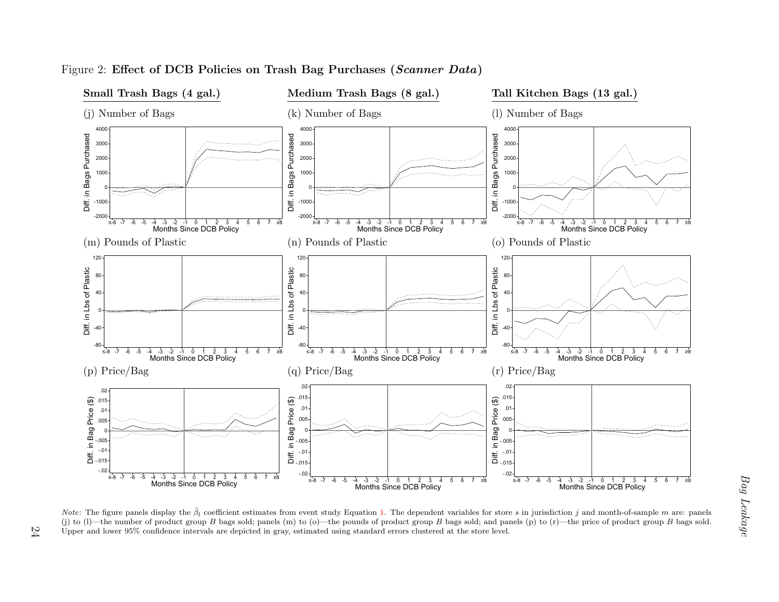

#### Figure 2: Effect of DCB Policies on Trash Bag Purchases  $(Scanner\ Data)$

<span id="page-24-0"></span>24

 $8$  -7  $-6$  -5  $-4$  -3  $-2$  -1  $0$  1  $-2$  3  $-3$  -4  $-5$  6 7 ≥8<br>Months Since DCB Policy<br>at study Equation 1. The dependent variables for<br>o)—the pounds of product group *B* bags sold; a<br>ated using standard errors clustered  $8 - 7 - 6 - 5 - 4 - 3 - 2 - 1 = 0 - 1 - 2 - 3$ <br>
Months Since DCB Policy<br>
is in jurisdiction j and month-of-sample m are: 1<br>
is (p) to (r)—the price of product group B bags Note: The figure panels display the  $\hat{\beta}_l$  coefficient estimates from event study Equation [1.](#page-5-2) The dependent variables for store s in jurisdiction j and month-of-sample m are: panels (i) to (i) the number of product grou (j) to (l)—the number of product group B bags sold; panels (m) to (o)—the pounds of product group B bags sold; and panels (p) to (r)—the price of product group B bags sold. Upper and lower 95% confidence intervals are depicted in gray, estimated using standard errors clustered at the store level.